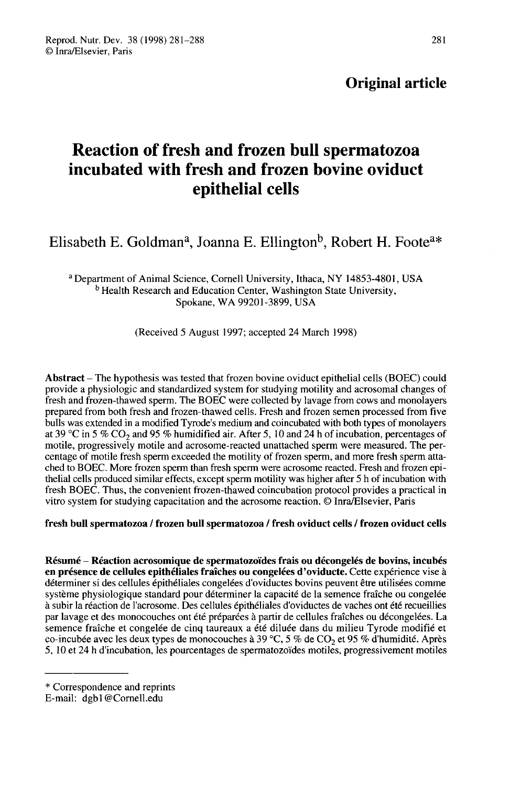# Reaction of fresh and frozen bull spermatozoa incubated with fresh and frozen bovine oviduct epithelial cells epithelial cells<br>Elisabeth E. Goldman<sup>a</sup>, Joanna E. Ellington<sup>b</sup>, Robert H. Foote

sabeth E. Goldman<sup>a</sup>, Joanna E. Ellington<sup>b</sup>, Robert H. Foot<br><sup>a</sup> Department of Animal Science, Cornell University, Ithaca, NY 14853-4801, USA<br><sup>b</sup> Health Research and Education Center, Washington State University, <sup>b</sup> Health Research and Education Center, Washington State University, Spokane, WA 99201-3899, USA

(Received 5 August 1997; accepted 24 March 1998)

Abstract – The hypothesis was tested that frozen bovine oviduct epithelial cells (BOEC) could provide a physiologic and standardized system for studying motility and acrosomal changes of fresh and frozen-thawed sperm. The BOEC were collected by lavage from cows and monolayers prepared from both fresh and frozen-thawed cells. Fresh and frozen semen processed from five<br>bulls was extended in a modified Tyrode's medium and coincubated with both types of monolayers at 39 °C in 5 % CO<sub>2</sub> and 95 % humidified air. After 5, 10 and 24 h of incubation, percentages of motile, progressively motile and acrosome-reacted unattached sperm were measured. The percentage of motile fresh sperm exceeded the motility of frozen sperm, and more fresh sperm attached to BOEC. More frozen sperm than fresh sperm were acrosome reacted. Fresh and frozen epithelial cells produced similar effects, except sperm motility was higher after 5 h of incubation with fresh BOEC. Thus, the convenient frozen-thawed coincubation protocol provides a practical in vitro system for studying capacitation and the acrosome reaction. © Inra/Elsevier, Paris

# fresh bull spermatozoa / frozen bull spermatozoa / fresh oviduct cells / frozen oviduct cells

Résumé - Réaction acrosomique de spermatozoïdes frais ou décongelés de bovins, incubés en présence de cellules epithéliales fraîches ou congelées d'oviducte. Cette expérience vise à déterminer si des cellules épithéliales congelées d'oviductes bovins peuvent être utilisées comme système physiologique standard pour déterminer la capacité de la semence fraîche ou congelée à subir la réaction de l'acrosome. Des cellules épithéliales d'oviductes de vaches ont été recueillies par lavage et des monocouches ont été préparées à partir de cellules fraîches ou décongelées. La semence fraîche et congelée de cinq taureaux a été diluée dans du milieu Tyrode modifié et co-incubée avec les deux types de monocouches à 39 °C, 5 % de CO<sub>2</sub> et 95 % d'humidité. Après<br>5, 10 et 24 h d'incubation, les pour 5, 10 et 24 h d'incubation, les pourcentages de spermatozoïdes motiles, progressivement motiles

<sup>\*</sup> Correspondence and reprints

E-mail: dgbl @Cornell.edu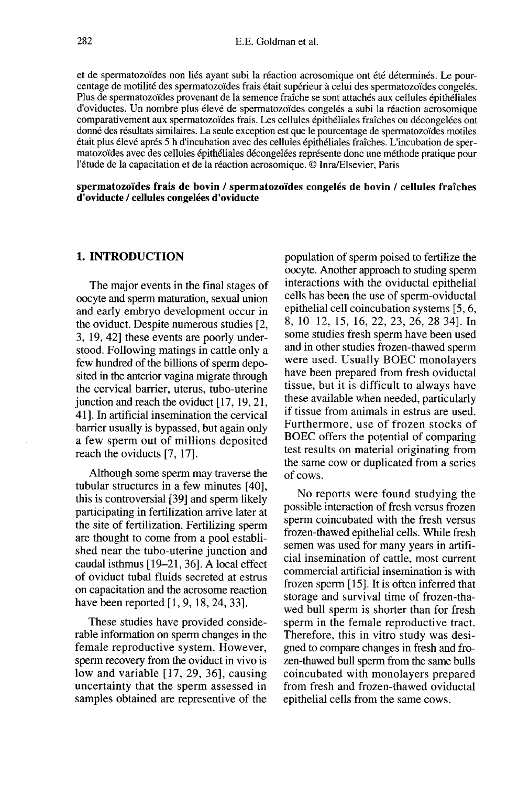et de spermatozoïdes non liés ayant subi la réaction acrosomique ont été déterminés. Le pourcentage de motilité des spermatozoïdes frais était supérieur à celui des spermatozoïdes congelés. d'oviductes. Un nombre plus élevé de spermatozoïdes congelés a subi la réaction acrosomique comparativement aux spermatozoïdes frais. Les cellules épithéliales fraîches ou décongelées ont donné des résultats similaires. La seule exception est que le pourcentage de spermatozoïdes motiles était plus élevé après 5 h d'incubation avec des cellules épithéliales fraîches. L'incubation de spermatozoïdes avec des cellules épithéliales décongelées représente donc une méthode pratique pour l'étude de la capacitation et de la réaction acrosomique. © Inra/Elsevier, Paris

spermatozoïdes frais de bovin / spermatozoïdes congelés de bovin / cellules fraîches d'oviducte / cellules congelées d'oviducte

# 1. INTRODUCTION

The major events in the final stages of oocyte and sperm maturation, sexual union and early embryo development occur in the oviduct. Despite numerous studies [2, 3, 19, 42] these events are poorly understood. Following matings in cattle only a few hundred of the billions of sperm deposited in the anterior vagina migrate through the cervical barrier, uterus, tubo-uterine junction and reach the oviduct [17, 19, 21, 41]. In artificial insemination the cervical barrier usually is bypassed, but again only a few sperm out of millions deposited reach the oviducts [7, 17].

Although some sperm may traverse the tubular structures in a few minutes [40], this is controversial [39] and sperm likely participating in fertilization arrive later at the site of fertilization. Fertilizing sperm are thought to come from a pool established near the tubo-uterine junction and caudal isthmus [19-21, 36]. A local effect of oviduct tubal fluids secreted at estrus on capacitation and the acrosome reaction have been reported [1, 9, 18, 24, 33].

These studies have provided considerable information on sperm changes in the female reproductive system. However, sperm recovery from the oviduct in vivo is low and variable [17, 29, 36], causing uncertainty that the sperm assessed in samples obtained are representive of the

population of sperm poised to fertilize the oocyte. Another approach to studing sperm interactions with the oviductal epithelial cells has been the use of sperm-oviductal epithelial cell coincubation systems [5, 6, 8, 10-12, 15, 16, 22, 23, 26, 28 34]. In some studies fresh sperm have been used<br>and in other studies frozen-thawed sperm were used. Usually BOEC monolayers have been prepared from fresh oviductal tissue, but it is difficult to always have these available when needed, particularly if tissue from animals in estrus are used. Furthermore, use of frozen stocks of BOEC offers the potential of comparing test results on material originating from the same cow or duplicated from a series of cows.

No reports were found studying the possible interaction of fresh versus frozen sperm coincubated with the fresh versus frozen-thawed epithelial cells. While fresh semen was used for many years in artificial insemination of cattle, most current commercial artificial insemination is with frozen sperm [15]. It is often inferred that storage and survival time of frozen-thawed bull sperm is shorter than for fresh sperm in the female reproductive tract. Therefore, this in vitro study was designed to compare changes in fresh and frozen-thawed bull sperm from the same bulls coincubated with monolayers prepared from fresh and frozen-thawed oviductal epithelial cells from the same cows.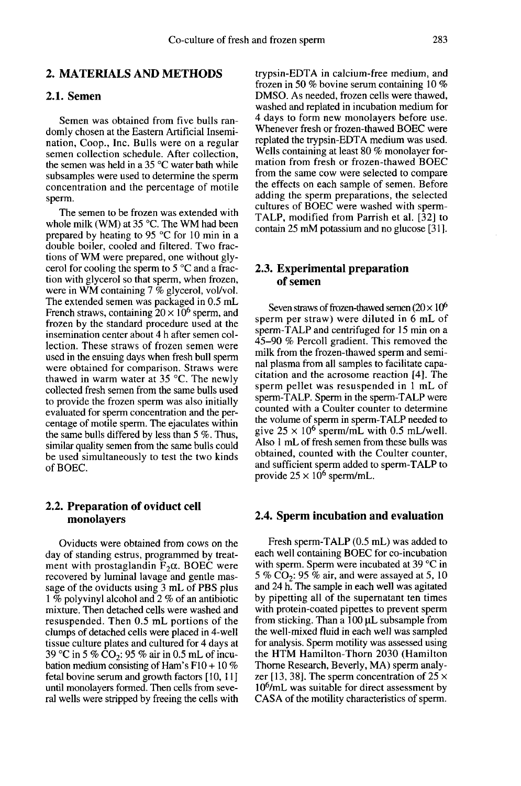## 2.1. Semen

Semen was obtained from five bulls randomly chosen at the Eastern Artificial Insemination, Coop., Inc. Bulls were on a regular semen collection schedule. After collection, the semen was held in a 35 °C water bath while subsamples were used to determine the sperm concentration and the percentage of motile sperm.

The semen to be frozen was extended with whole milk (WM) at 35 °C. The WM had been prepared by heating to 95 °C for 10 min in a double boiler, cooled and filtered. Two fractions of WM were prepared, one without glycerol for cooling the sperm to  $5^{\circ}$ C and a frac-<br>tion with glycerol so that sperm, when frozen, were in WM containing 7 % glycerol, vol/vol. The extended semen was packaged in 0.5 mL French straws, containing  $20 \times 10^6$  sperm, and frozen by the standard procedure used at the insemination center about 4 h after semen collection. These straws of frozen semen were used in the ensuing days when fresh bull sperm were obtained for comparison. Straws were thawed in warm water at 35 °C. The newly collected fresh semen from the same bulls used to provide the frozen sperm was also initially evaluated for sperm concentration and the percentage of motile sperm. The ejaculates within the same bulls differed by less than 5 %. Thus, similar quality semen from the same bulls could be used simultaneously to test the two kinds of BOEC.

### 2.2. Preparation of oviduct cell monolayers

Oviducts were obtained from cows on the day of standing estrus, programmed by treatment with prostaglandin  $F_2\alpha$ . BOEC were recovered by luminal lavage and gentle massage of the oviducts using 3 mL of PBS plus 1 % polyvinyl alcohol and 2 % of an antibiotic mixture. Then detached cells were washed and resuspended. Then 0.5 mL portions of the clumps of detached cells were placed in 4-well tissue culture plates and cultured for 4 days at 39 °C in 5 %  $CO<sub>2</sub>$ : 95 % air in 0.5 mL of incubation medium consisting of Ham's  $F10 + 10\%$ fetal bovine serum and growth factors [10, 11 ] until monolayers formed. Then cells from several wells were stripped by freeing the cells with trypsin-EDTA in calcium-free medium, and frozen in 50 % bovine serum containing 10 % DMSO. As needed, frozen cells were thawed, washed and replated in incubation medium for 4 days to form new monolayers before use. Whenever fresh or frozen-thawed BOEC were replated the trypsin-EDTA medium was used. Wells containing at least 80 % monolayer formation from fresh or frozen-thawed BOEC from the same cow were selected to compare the effects on each sample of semen. Before adding the sperm preparations, the selected cultures of BOEC were washed with sperm-TALP, modified from Parrish et al. [32] to contain  $25 \text{ mM potassium}$  and no glucose [31].

# 2.3. Experimental preparation of semen

Seven straws of frozen-thawed semen  $(20 \times 10^6$ sperm per straw) were diluted in 6 mL of sperm-TALP and centrifuged for 15 min on a 45-90 % Percoll gradient. This removed the milk from the frozen-thawed sperm and seminal plasma from all samples to facilitate capacitation and the acrosome reaction [4]. The sperm pellet was resuspended in 1 mL of sperm-TALP. Sperm in the sperm-TALP were counted with a Coulter counter to determine the volume of sperm in sperm-TALP needed to give  $25 \times 10^6$  sperm/mL with 0.5 mL/well. Also 1 mL of fresh semen from these bulls was obtained, counted with the Coulter counter, and sufficient sperm added to sperm-TALP to provide  $25 \times 10^6$  sperm/mL.

#### 2.4. Sperm incubation and evaluation

Fresh sperm-TALP (0.5 mL) was added to each well containing BOEC for co-incubation with sperm. Sperm were incubated at 39 °C in 5 % CO<sub>2</sub>: 95 % air, and were assayed at 5, 10 and 24 h. The sample in each well was agitated by pipetting all of the supernatant ten times with protein-coated pipettes to prevent sperm from sticking. Than a  $100 \mu L$  subsample from the well-mixed fluid in each well was sampled for analysis. Sperm motility was assessed using the HTM Hamilton-Thorn 2030 (Hamilton zer [13, 38]. The sperm concentration of  $25 \times 10^6$ /mL was suitable for direct assessment by Thorne Research, Beverly, MA) sperm analy-CASA of the motility characteristics of sperm.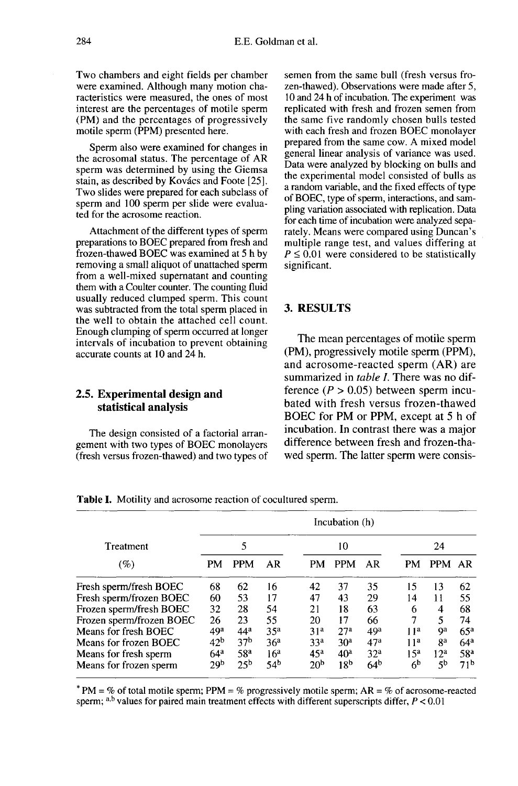Two chambers and eight fields per chamber were examined. Although many motion characteristics were measured, the ones of most interest are the percentages of motile sperm (PM) and the percentages of progressively motile sperm (PPM) presented here.

Sperm also were examined for changes in the acrosomal status. The percentage of AR sperm was determined by using the Giemsa stain, as described by Kovács and Foote [25]. Two slides were prepared for each subclass of sperm and 100 sperm per slide were evaluated for the acrosome reaction.

Attachment of the different types of sperm preparations to BOEC prepared from fresh and frozen-thawed BOEC was examined at 5 h by removing a small aliquot of unattached sperm from a well-mixed supernatant and counting them with a Coulter counter. The counting fluid usually reduced clumped sperm. This count was subtracted from the total sperm placed in the well to obtain the attached cell count. Enough clumping of sperm occurred at longer intervals of incubation to prevent obtaining accurate counts at 10 and 24 h.

## 2.5. Experimental design and statistical analysis

The design consisted of a factorial arrangement with two types of BOEC monolayers (fresh versus frozen-thawed) and two types of semen from the same bull (fresh versus frozen-thawed). Observations were made after 5, 10 and 24 h of incubation. The experiment was replicated with fresh and frozen semen from the same five randomly chosen bulls tested with each fresh and frozen BOEC monolayer prepared from the same cow. A mixed model general linear analysis of variance was used. Data were analyzed by blocking on bulls and the experimental model consisted of bulls as a random variable, and the fixed effects of type of BOEC, type of sperm, interactions, and sampling variation associated with replication. Data for each time of incubation were analyzed separately. Means were compared using Duncan's multiple range test, and values differing at  $P \le 0.01$  were considered to be statistically significant.

# 3. RESULTS

The mean percentages of motile sperm (PM), progressively motile sperm (PPM), and acrosome-reacted sperm (AR) are summarized in *table I*. There was no difference ( $P > 0.05$ ) between sperm incubated with fresh versus frozen-thawed BOEC for PM or PPM, except at 5 h of incubation. In contrast there was a major difference between fresh and frozen-thawed sperm. The latter sperm were consis-

| Treatment<br>(%)         | Incubation (h)  |                 |                 |                 |                 |                 |                  |                 |                 |
|--------------------------|-----------------|-----------------|-----------------|-----------------|-----------------|-----------------|------------------|-----------------|-----------------|
|                          | 5               |                 |                 | 10              |                 |                 | 24               |                 |                 |
|                          | <b>PM</b>       | <b>PPM</b>      | AR              | <b>PM</b>       | <b>PPM</b>      | AR              | PM               | <b>PPM</b>      | AR              |
| Fresh sperm/fresh BOEC   | 68              | 62              | 16              | 42              | 37              | 35              | 15               | 13              | 62              |
| Fresh sperm/frozen BOEC  | 60              | 53              | 17              | 47              | 43              | 29              | 14               | 11              | 55              |
| Frozen sperm/fresh BOEC  | 32              | 28              | 54              | 21              | 18              | 63              | 6                | 4               | 68              |
| Frozen sperm/frozen BOEC | 26              | 23              | 55              | 20              | 17              | 66              | 7                | 5               | 74              |
| Means for fresh BOEC     | 49 <sup>a</sup> | 44 <sup>a</sup> | 35 <sup>a</sup> | 31 <sup>a</sup> | 27 <sup>a</sup> | 49 <sup>a</sup> | 11 <sup>a</sup>  | Qа              | 65 <sup>a</sup> |
| Means for frozen BOEC    | 42 <sup>b</sup> | 37 <sup>b</sup> | 36 <sup>a</sup> | 33 <sup>a</sup> | 30 <sup>2</sup> | 47 <sup>a</sup> | 1 1 <sup>a</sup> | ga              | 64 <sup>a</sup> |
| Means for fresh sperm    | 64 <sup>a</sup> | 58 <sup>a</sup> | 16 <sup>a</sup> | 45 <sup>a</sup> | 40 <sup>a</sup> | 32 <sup>a</sup> | 15 <sup>a</sup>  | 12 <sup>a</sup> | 58 <sup>a</sup> |
| Means for frozen sperm   | 29 <sub>p</sub> | 25 <sup>b</sup> | 54 <sup>b</sup> | 20 <sup>b</sup> | 18 <sup>b</sup> | 64 <sup>b</sup> | 6 <sup>b</sup>   | 5 <sup>b</sup>  | 71 <sup>b</sup> |

Table I. Motility and acrosome reaction of cocultured sperm.

\* PM = % of total motile sperm; PPM = % progressively motile sperm; AR = % of acrosome-reacted sperm; a,b values for paired main treatment effects with different superscripts differ,  $P < 0.01$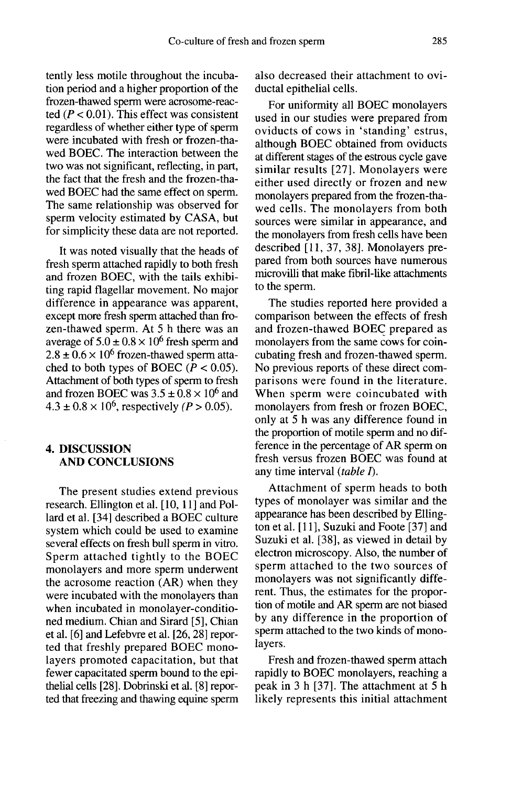tently less motile throughout the incubation period and a higher proportion of the frozen-thawed sperm were acrosome-reacted ( $P < 0.01$ ). This effect was consistent regardless of whether either type of sperm were incubated with fresh or frozen-thawed BOEC. The interaction between the two was not significant, reflecting, in part, the fact that the fresh and the frozen-thawed BOEC had the same effect on sperm. The same relationship was observed for sperm velocity estimated by CASA, but for simplicity these data are not reported.

It was noted visually that the heads of fresh sperm attached rapidly to both fresh and frozen BOEC, with the tails exhibiting rapid flagellar movement. No major difference in appearance was apparent, except more fresh sperm attached than frozen-thawed sperm. At 5 h there was an average of  $5.0 \pm 0.8 \times 10^6$  fresh sperm and  $2.8 \pm 0.6 \times 10^6$  frozen-thawed sperm attached to both types of BOEC ( $P < 0.05$ ). Attachment of both types of sperm to fresh and frozen BOEC was  $3.5 \pm 0.8 \times 10^6$  and  $4.3 \pm 0.8 \times 10^6$ , respectively (*P* > 0.05).

# 4. DISCUSSION AND CONCLUSIONS

The present studies extend previous research. Ellington et al. [10, 11] and Pollard et al. [34] described a BOEC culture system which could be used to examine several effects on fresh bull sperm in vitro. Sperm attached tightly to the BOEC monolayers and more sperm underwent the acrosome reaction (AR) when they were incubated with the monolayers than when incubated in monolayer-conditioned medium. Chian and Sirard [5], Chian et al. [6] and Lefebvre et al. [26, 28] reported that freshly prepared BOEC monolayers promoted capacitation, but that fewer capacitated sperm bound to the epithelial cells [28]. Dobrinski et al. [8] reported that freezing and thawing equine sperm also decreased their attachment to oviductal epithelial cells.

For uniformity all BOEC monolayers used in our studies were prepared from oviducts of cows in 'standing' estrus, although BOEC obtained from oviducts at different stages of the estrous cycle gave similar results [27]. Monolayers were either used directly or frozen and new monolayers prepared from the frozen-thawed cells. The monolayers from both sources were similar in appearance, and the monolayers from fresh cells have been described [11, 37, 38]. Monolayers prepared from both sources have numerous microvilli that make fibril-like attachments to the sperm.

The studies reported here provided a comparison between the effects of fresh and frozen-thawed BOEC prepared as monolayers from the same cows for coincubating fresh and frozen-thawed sperm. No previous reports of these direct comparisons were found in the literature. When sperm were coincubated with monolayers from fresh or frozen BOEC, only at 5 h was any difference found in the proportion of motile sperm and no difference in the percentage of AR sperm on fresh versus frozen BOEC was found at any time interval  $(table I)$ .

Attachment of sperm heads to both types of monolayer was similar and the appearance has been described by Elling ton et al. [11], Suzuki and Foote [37] and Suzuki et al. [38], as viewed in detail by electron microscopy. Also, the number of sperm attached to the two sources of monolayers was not significantly different. Thus, the estimates for the proportion of motile and AR sperm are not biased by any difference in the proportion of sperm attached to the two kinds of monolayers.

Fresh and frozen-thawed sperm attach rapidly to BOEC monolayers, reaching a peak in 3 h [37]. The attachment at 5 h likely represents this initial attachment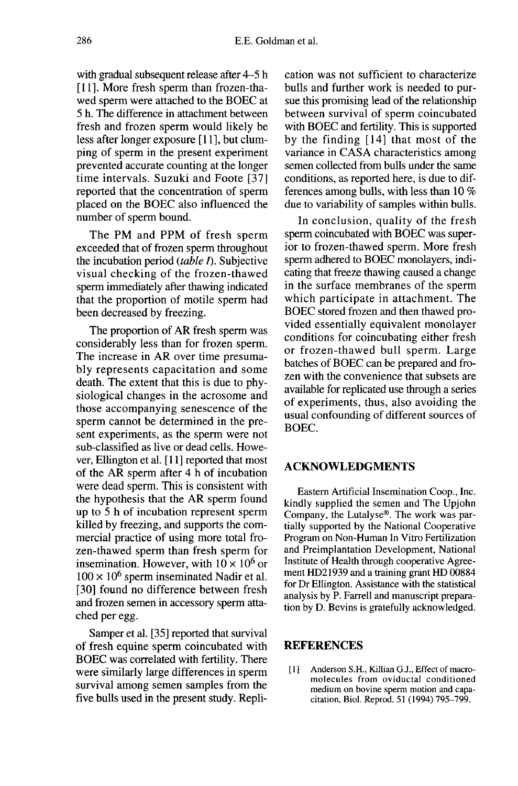with gradual subsequent release after 4-5 h [11]. More fresh sperm than frozen-thawed sperm were attached to the BOEC at 5 h. The difference in attachment between fresh and frozen sperm would likely be less after longer exposure [11], but clumping of sperm in the present experiment prevented accurate counting at the longer time intervals. Suzuki and Foote [37] reported that the concentration of sperm placed on the BOEC also influenced the number of sperm bound.

The PM and PPM of fresh sperm exceeded that of frozen sperm throughout the incubation period  $(table I)$ . Subjective visual checking of the frozen-thawed sperm immediately after thawing indicated that the proportion of motile sperm had been decreased by freezing.

The proportion of AR fresh sperm was considerably less than for frozen sperm. The increase in AR over time presumably represents capacitation and some death. The extent that this is due to physiological changes in the acrosome and those accompanying senescence of the sperm cannot be determined in the present experiments, as the sperm were not sub-classified as live or dead cells. However, Ellington et al. [11] reported that most of the AR sperm after 4 h of incubation were dead sperm. This is consistent with the hypothesis that the AR sperm found up to 5 h of incubation represent sperm killed by freezing, and supports the commercial practice of using more total frozen-thawed sperm than fresh sperm for insemination. However, with  $10 \times 10^6$  or  $100 \times 10^6$  sperm inseminated Nadir et al. [30] found no difference between fresh and frozen semen in accessory sperm attached per egg.

Samper et al. [35] reported that survival of fresh equine sperm coincubated with BOEC was correlated with fertility. There were similarly large differences in sperm survival among semen samples from the five bulls used in the present study. Repli-

cation was not sufficient to characterize bulls and further work is needed to pursue this promising lead of the relationship between survival of sperm coincubated with BOEC and fertility. This is supported by the finding [ 14] that most of the variance in CASA characteristics among semen collected from bulls under the same conditions, as reported here, is due to differences among bulls, with less than 10 % due to variability of samples within bulls.

In conclusion, quality of the fresh sperm coincubated with BOEC was superior to frozen-thawed sperm. More fresh sperm adhered to BOEC monolayers, indicating that freeze thawing caused a change in the surface membranes of the sperm which participate in attachment. The BOEC stored frozen and then thawed provided essentially equivalent monolayer conditions for coincubating either fresh or frozen-thawed bull sperm. Large batches of BOEC can be prepared and frozen with the convenience that subsets are available for replicated use through a series of experiments, thus, also avoiding the usual confounding of different sources of BOEC.

# ACKNOWLEDGMENTS

Eastern Artificial Insemination Coop., Inc. kindly supplied the semen and The Upjohn Company, the Lutalyse®. The work was partially supported by the National Cooperative Program on Non-Human In Vitro Fertilization and Preimplantation Development, National ment HD21939 and a training grant HD 00884 for Dr Ellington. Assistance with the statistical analysis by P. Farrell and manuscript preparation by D. Bevins is gratefully acknowledged.

# REFERENCES

[1] Anderson S.H., Killian G.J., Effect of macromolecules from oviductal conditioned medium on bovine sperm motion and capacitation, Biol. Reprod. 51 (1994) 795-799.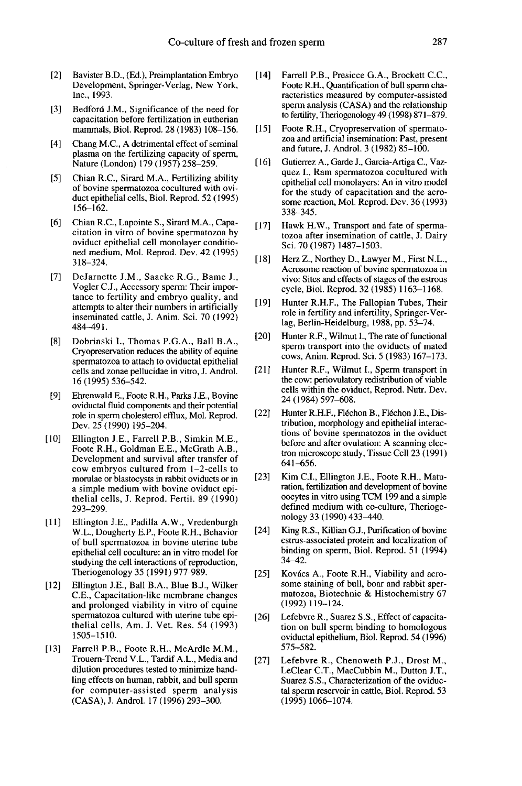- [2] Bavister B.D., (Ed.), Preimplantation Embryo Development, Springer-Verlag, New York, Inc., 1993.
- [3] Bedford J.M., Significance of the need for capacitation before fertilization in eutherian marnmals, Biol. Reprod. 28 (1983) 108-156.
- [4] Chang M.C., A detrimental effect of seminal plasma on the fertilizing capacity of sperm, Nature (London) 179 (1957) 258-259.
- [5] Chian R.C., Sirard M.A., Fertilizing ability of bovine spermatozoa cocultured with oviduct epithelial cells, Biol. Reprod. 52 (1995) 156-162.
- [6] Chian R.C., Lapointe S., Sirard M.A., Capacitation in vitro of bovine spermatozoa by oviduct epithelial cell monolayer conditioned medium, Mol. Reprod. Dev. 42 (1995) 318-324.
- [7] DeJarnette J.M., Saacke R.G., Bame J., Vogler C.J., Accessory sperm: Their impor tance to fertility and embryo quality, and attempts to alter their numbers in artificially inseminated cattle, J. Anim. Sci. 70 (1992) 484-491.
- [8] Dobrinski L, Thomas P.G.A., Ball B.A., Cryopreservation reduces the ability of equine spermatozoa to attach to oviductal epithelial cells and zonae pellucidae in vitro, J. Androl. 16 (1995) 536-542.
- [9] Ehrenwald E., Foote R.H., Parks J.E., Bovine oviductal fluid components and their potential role in sperm cholesterol efflux, Mol. Reprod. Dev. 25 (1990) 195-204.
- [10] Ellington J.E., Farrell P.B., Simkin M.E., Foote R.H., Goldman E.E., McGrath A.B., Development and survival after transfer of cow embryos cultured from 1-2-cells to morulae or blastocysts in rabbit oviducts or in a simple medium with bovine oviduct epithelial cells, J. Reprod. Fertil. 89 (1990) 293-299.
- [11] Ellington J.E., Padilla A.W., Vredenburgh W.L., Dougherty E.P., Foote R.H., Behavior of bull spermatozoa in bovine uterine tube epithelial cell coculture: an in vitro model for studying the cell interactions of reproduction, Theriogenology 35 (1991) 977-989.
- [12] Ellington J.E., Ball B.A., Blue B.J., Wilker C.E., Capacitation-like membrane changes and prolonged viability in vitro of equine spermatozoa cultured with uterine tube epithelial cells, Am. J. Vet. Res. 54 (1993) 1505-1510.
- [13] Farrell P.B., Foote R.H., McArdle M.M., Trouem-Trend V.L., Tardif A.L., Media and dilution procedures tested to minimize handling effects on human, rabbit, and bull sperm for computer-assisted sperm analysis (CASA), J. Androl. 17 (1996) 293-300.
- [14] Farrell P.B., Presicce G.A., Brockett C.C., Foote R.H., Quantification of bull sperm characteristics measured by computer-assisted sperm analysis (CASA) and the relationship to fertility, Theriogenology 49 (1998) 871-879.
- [15] Foote R.H., Cryopreservation of spermatozoa and artificial insemination: Past, present and future, J. Androl. 3 (1982) 85-100.
- [16] Gutierrez A., Garde J., Garcia-Artiga C., Vazquez I., Ram spermatozoa cocultured with epithelial cell monolayers: An in vitro model for the study of capacitation and the acrosome reaction, Mol. Reprod. Dev. 36 (1993) 338-345.
- [17] Hawk H.W., Transport and fate of spermatozoa after insemination of cattle, J. Dairy Sci. 70 (1987) 1487-1503.
- [18] Herz Z., Northey D., Lawyer M., First N.L., Acrosome reaction of bovine spermatozoa in vivo: Sites and effects of stages of the estrous cycle, Biol. Reprod. 32 (1985) 1163-1168.
- [19] Hunter R.H.F., The Fallopian Tubes, Their role in fertility and infertility, Springer-Verlag, Berlin-Heidelburg, 1988, pp. 53-74.
- [20] Hunter R.F., Wilmut I., The rate of functional sperm transport into the oviducts of mated cows, Anim. Reprod. Sci. 5 (1983) 167-173.
- [21] Hunter R.F., Wilmut I., Sperm transport in the cow: periovulatory redistribution of viable cells within the oviduct, Reprod. Nutr. Dev. 24 (1984) 597-608.
- [22] Hunter R.H.F., Fléchon B., Fléchon J.E., Distribution, morphology and epithelial interactions of bovine spermatozoa in the oviduct before and after ovulation: A scanning electron microscope study, Tissue Cell 23 (1991) 641-656.
- [23] Kim C.I., Ellington J.E., Foote R.H., Maturation, fertilization and development of bovine oocytes in vitro using TCM 199 and a simple defined medium with co-culture, Theriogenology 33 (1990) 433-440.
- [24] King R.S., Killian G.J., Purification of bovine estrus-associated protein and localization of binding on sperm, Biol. Reprod. 51 (1994) 34-42.
- [25] Kovács A., Foote R.H., Viability and acrosome staining of bull, boar and rabbit spermatozoa, Biotechnic & Histochemistry 67 (1992) 119-124.
- [26] Lefebvre R., Suarez S.S., Effect of capacitation on bull sperm binding to homologous oviductal epithelium, Biol. Reprod. 54 (1996) 575-582.
- [27] Lefebvre R., Chenoweth P.J., Drost M., LeClear C.T., MacCubbin M., Dutton J.T., Suarez S.S., Characterization of the oviductal sperm reservoir in cattle, Biol. Reprod. 53 (1995) 1066-1074.